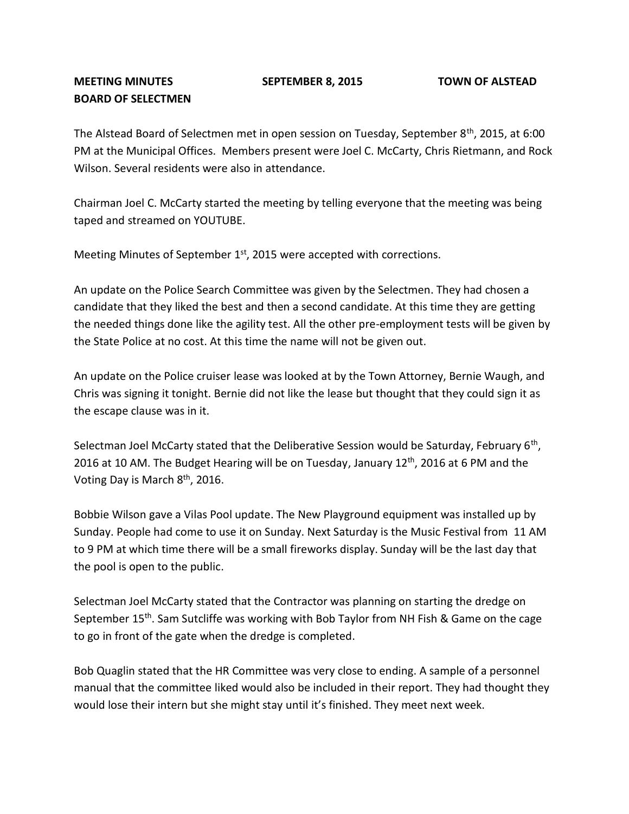## **BOARD OF SELECTMEN**

The Alstead Board of Selectmen met in open session on Tuesday, September 8<sup>th</sup>, 2015, at 6:00 PM at the Municipal Offices. Members present were Joel C. McCarty, Chris Rietmann, and Rock Wilson. Several residents were also in attendance.

Chairman Joel C. McCarty started the meeting by telling everyone that the meeting was being taped and streamed on YOUTUBE.

Meeting Minutes of September  $1<sup>st</sup>$ , 2015 were accepted with corrections.

An update on the Police Search Committee was given by the Selectmen. They had chosen a candidate that they liked the best and then a second candidate. At this time they are getting the needed things done like the agility test. All the other pre-employment tests will be given by the State Police at no cost. At this time the name will not be given out.

An update on the Police cruiser lease was looked at by the Town Attorney, Bernie Waugh, and Chris was signing it tonight. Bernie did not like the lease but thought that they could sign it as the escape clause was in it.

Selectman Joel McCarty stated that the Deliberative Session would be Saturday, February 6<sup>th</sup>, 2016 at 10 AM. The Budget Hearing will be on Tuesday, January  $12<sup>th</sup>$ , 2016 at 6 PM and the Voting Day is March 8<sup>th</sup>, 2016.

Bobbie Wilson gave a Vilas Pool update. The New Playground equipment was installed up by Sunday. People had come to use it on Sunday. Next Saturday is the Music Festival from 11 AM to 9 PM at which time there will be a small fireworks display. Sunday will be the last day that the pool is open to the public.

Selectman Joel McCarty stated that the Contractor was planning on starting the dredge on September 15th. Sam Sutcliffe was working with Bob Taylor from NH Fish & Game on the cage to go in front of the gate when the dredge is completed.

Bob Quaglin stated that the HR Committee was very close to ending. A sample of a personnel manual that the committee liked would also be included in their report. They had thought they would lose their intern but she might stay until it's finished. They meet next week.